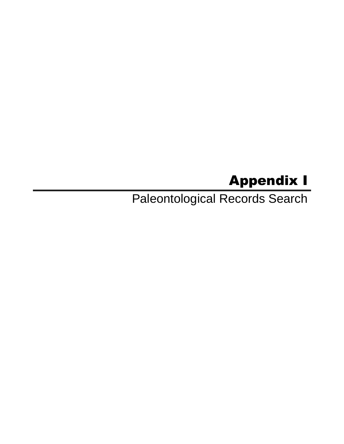## Appendix I

Paleontological Records Search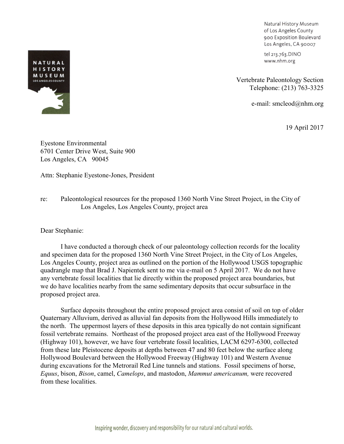Natural History Museum of Los Angeles County 900 Exposition Boulevard Los Angeles, CA 90007

tel 213.763.DINO www.nhm.org

Vertebrate Paleontology Section Telephone: (213) 763-3325

e-mail: smcleod@nhm.org

19 April 2017

Eyestone Environmental 6701 Center Drive West, Suite 900 Los Angeles, CA 90045

Attn: Stephanie Eyestone-Jones, President

re: Paleontological resources for the proposed 1360 North Vine Street Project, in the City of Los Angeles, Los Angeles County, project area

Dear Stephanie:

I have conducted a thorough check of our paleontology collection records for the locality and specimen data for the proposed 1360 North Vine Street Project, in the City of Los Angeles, Los Angeles County, project area as outlined on the portion of the Hollywood USGS topographic quadrangle map that Brad J. Napientek sent to me via e-mail on 5 April 2017. We do not have any vertebrate fossil localities that lie directly within the proposed project area boundaries, but we do have localities nearby from the same sedimentary deposits that occur subsurface in the proposed project area.

Surface deposits throughout the entire proposed project area consist of soil on top of older Quaternary Alluvium, derived as alluvial fan deposits from the Hollywood Hills immediately to the north. The uppermost layers of these deposits in this area typically do not contain significant fossil vertebrate remains. Northeast of the proposed project area east of the Hollywood Freeway (Highway 101), however, we have four vertebrate fossil localities, LACM 6297-6300, collected from these late Pleistocene deposits at depths between 47 and 80 feet below the surface along Hollywood Boulevard between the Hollywood Freeway (Highway 101) and Western Avenue during excavations for the Metrorail Red Line tunnels and stations. Fossil specimens of horse, *Equus*, bison, *Bison*, camel, *Camelops*, and mastodon, *Mammut americanum,* were recovered from these localities.